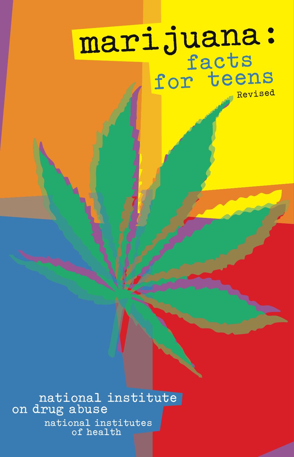# marijuana:

 **national institute on drug abuse national institutes national institutes**<br>of health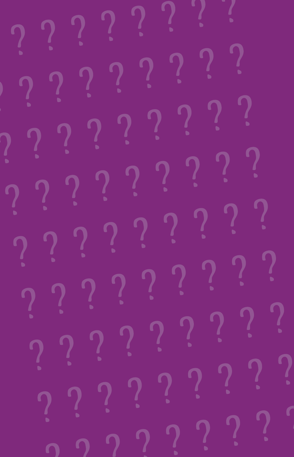<u>?</u> <u>?</u> ? <u> ၇</u> 7 <u>?</u> 7 <u> ၇</u> ? <u>?</u>  $\boldsymbol{P}$ 7  $\boldsymbol{P}$ 7  $\mathbf{P}$ **?** <u>?</u> 2  $\boldsymbol{P}$ <u>?</u> 7 7 <u>?</u> 9  $\boldsymbol{P}$  $\boldsymbol{\eta}$ ? 7 <u>?</u>  $\mathbf{P}$ 7 7 <u>?</u> ? 9 8  $\blacksquare$ Ŋ  $\bigcap$ Ŋ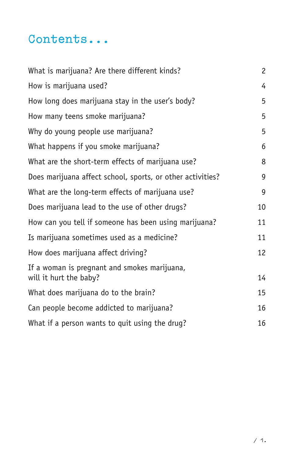# **Contents...**

| What is marijuana? Are there different kinds?                          | $\overline{c}$ |
|------------------------------------------------------------------------|----------------|
| How is marijuana used?                                                 | 4              |
| How long does marijuana stay in the user's body?                       | 5              |
| How many teens smoke marijuana?                                        | 5              |
| Why do young people use marijuana?                                     | 5              |
| What happens if you smoke marijuana?                                   | 6              |
| What are the short-term effects of marijuana use?                      | 8              |
| Does marijuana affect school, sports, or other activities?             | 9              |
| What are the long-term effects of marijuana use?                       | 9              |
| Does marijuana lead to the use of other drugs?                         | 10             |
| How can you tell if someone has been using marijuana?                  | 11             |
| Is marijuana sometimes used as a medicine?                             | 11             |
| How does marijuana affect driving?                                     | 12             |
| If a woman is pregnant and smokes marijuana,<br>will it hurt the baby? | 14             |
| What does marijuana do to the brain?                                   | 15             |
| Can people become addicted to marijuana?                               | 16             |
| What if a person wants to quit using the drug?                         | 16             |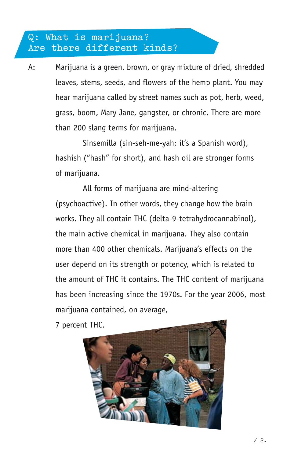A: Marijuana is a green, brown, or gray mixture of dried, shredded leaves, stems, seeds, and flowers of the hemp plant. You may hear marijuana called by street names such as pot, herb, weed, grass, boom, Mary Jane, gangster, or chronic. There are more than 200 slang terms for marijuana.

> Sinsemilla (sin-seh-me-yah; it's a Spanish word), hashish ("hash" for short), and hash oil are stronger forms of marijuana.

 All forms of marijuana are mind-altering (psychoactive). In other words, they change how the brain works. They all contain THC (delta-9-tetrahydrocannabinol), the main active chemical in marijuana. They also contain more than 400 other chemicals. Marijuana's effects on the user depend on its strength or potency, which is related to the amount of THC it contains. The THC content of marijuana has been increasing since the 1970s. For the year 2006, most marijuana contained, on average,

7 percent THC.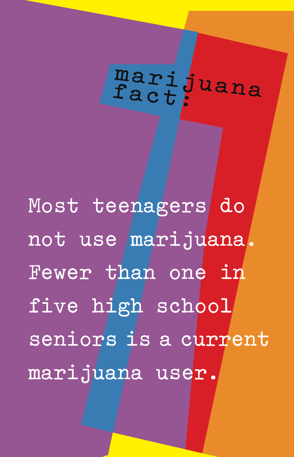# marijuana

**Most teenagers do not use marijuana. Fewer than one in five high school seniors is a current marijuana user.**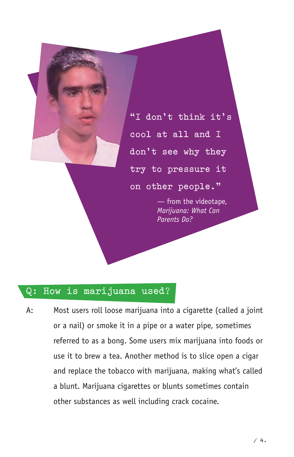**"I don't think it's cool at all and I don't see why they try to pressure it on other people."**

 — from the videotape, *Marijuana: What Can Parents Do?*

### **Q: How is marijuana used?**

A: Most users roll loose marijuana into a cigarette (called a joint or a nail) or smoke it in a pipe or a water pipe, sometimes referred to as a bong. Some users mix marijuana into foods or use it to brew a tea. Another method is to slice open a cigar and replace the tobacco with marijuana, making what's called a blunt. Marijuana cigarettes or blunts sometimes contain other substances as well including crack cocaine.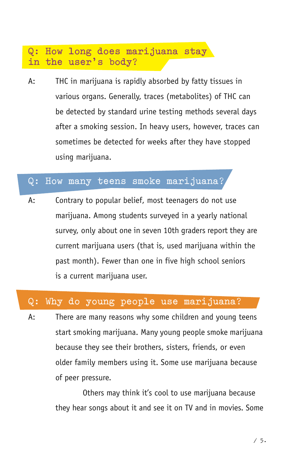### **Q: How long does marijuana stay in the user's body?**

A: THC in marijuana is rapidly absorbed by fatty tissues in various organs. Generally, traces (metabolites) of THC can be detected by standard urine testing methods several days after a smoking session. In heavy users, however, traces can sometimes be detected for weeks after they have stopped using marijuana.

### **Q: How many teens smoke marijuana?**

A: Contrary to popular belief, most teenagers do not use marijuana. Among students surveyed in a yearly national survey, only about one in seven 10th graders report they are current marijuana users (that is, used marijuana within the past month). Fewer than one in five high school seniors is a current marijuana user.

### **Q: Why do young people use marijuana?**

A: There are many reasons why some children and young teens start smoking marijuana. Many young people smoke marijuana because they see their brothers, sisters, friends, or even older family members using it. Some use marijuana because of peer pressure.

> Others may think it's cool to use marijuana because they hear songs about it and see it on TV and in movies. Some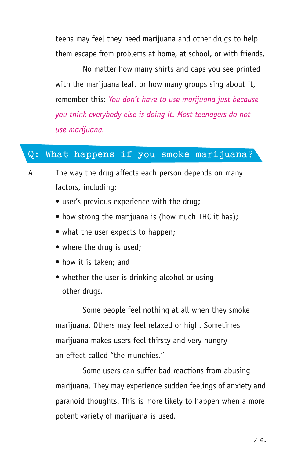teens may feel they need marijuana and other drugs to help them escape from problems at home, at school, or with friends.

 No matter how many shirts and caps you see printed with the marijuana leaf, or how many groups sing about it, remember this: *You don't have to use marijuana just because you think everybody else is doing it. Most teenagers do not use marijuana.* 

# **Q: What happens if you smoke marijuana?**

- A: The way the drug affects each person depends on many factors, including:
	- user's previous experience with the drug;
	- how strong the marijuana is (how much THC it has);
	- what the user expects to happen;
	- where the drug is used;
	- how it is taken; and
	- whether the user is drinking alcohol or using other drugs.

 Some people feel nothing at all when they smoke marijuana. Others may feel relaxed or high. Sometimes marijuana makes users feel thirsty and very hungry an effect called "the munchies."

 Some users can suffer bad reactions from abusing marijuana. They may experience sudden feelings of anxiety and paranoid thoughts. This is more likely to happen when a more potent variety of marijuana is used.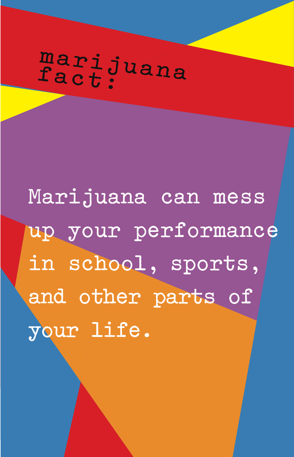# marijuana<br>fact:

**Marijuana can mess up your performance in school, sports, and other parts of your life.**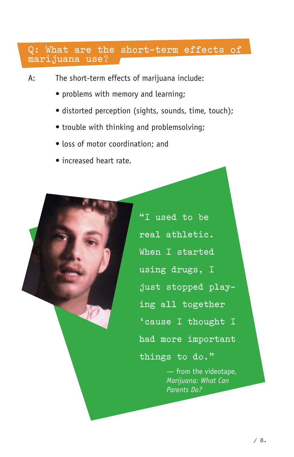### **Q: What are the short-term effects of marijuana use?**

- A: The short-term effects of marijuana include:
	- problems with memory and learning;
	- distorted perception (sights, sounds, time, touch);
	- trouble with thinking and problemsolving;
	- loss of motor coordination; and
	- increased heart rate.



**"I used to be real athletic. When I started using drugs, I just stopped playing all together 'cause I thought I had more important things to do."**

> — from the videotape, *Marijuana: What Can Parents Do?*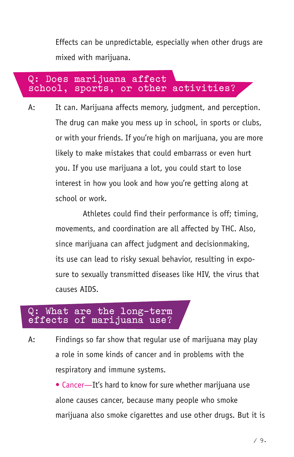Effects can be unpredictable, especially when other drugs are mixed with marijuana.

### **Q: Does marijuana affect school, sports, or other activities?**

A: It can. Marijuana affects memory, judgment, and perception. The drug can make you mess up in school, in sports or clubs, or with your friends. If you're high on marijuana, you are more likely to make mistakes that could embarrass or even hurt you. If you use marijuana a lot, you could start to lose interest in how you look and how you're getting along at school or work.

> Athletes could find their performance is off; timing, movements, and coordination are all affected by THC. Also, since marijuana can affect judgment and decisionmaking, its use can lead to risky sexual behavior, resulting in exposure to sexually transmitted diseases like HIV, the virus that causes AIDS.

### What are the long-term **effects of marijuana use?**

A: Findings so far show that regular use of marijuana may play a role in some kinds of cancer and in problems with the respiratory and immune systems.

> • Cancer—It's hard to know for sure whether marijuana use alone causes cancer, because many people who smoke marijuana also smoke cigarettes and use other drugs. But it is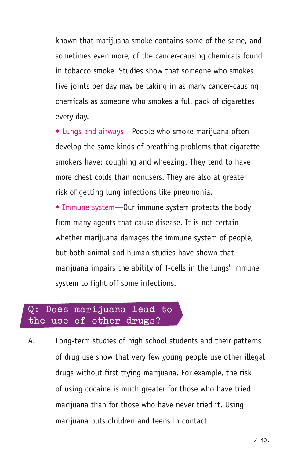known that marijuana smoke contains some of the same, and sometimes even more, of the cancer-causing chemicals found in tobacco smoke. Studies show that someone who smokes five joints per day may be taking in as many cancer-causing chemicals as someone who smokes a full pack of cigarettes every day.

• Lungs and airways—People who smoke marijuana often develop the same kinds of breathing problems that cigarette smokers have: coughing and wheezing. They tend to have more chest colds than nonusers. They are also at greater risk of getting lung infections like pneumonia.

• Immune system—Our immune system protects the body from many agents that cause disease. It is not certain whether marijuana damages the immune system of people, but both animal and human studies have shown that marijuana impairs the ability of T-cells in the lungs' immune system to fight off some infections.

## **Q: Does marijuana lead to the use of other drugs?**

A: Long-term studies of high school students and their patterns of drug use show that very few young people use other illegal drugs without first trying marijuana. For example, the risk of using cocaine is much greater for those who have tried marijuana than for those who have never tried it. Using marijuana puts children and teens in contact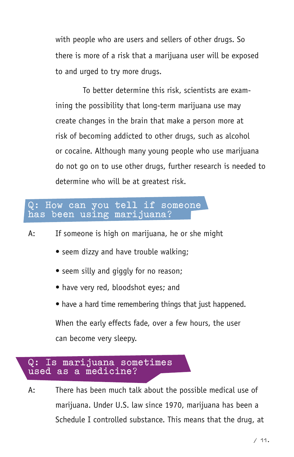with people who are users and sellers of other drugs. So there is more of a risk that a marijuana user will be exposed to and urged to try more drugs.

 To better determine this risk, scientists are examining the possibility that long-term marijuana use may create changes in the brain that make a person more at risk of becoming addicted to other drugs, such as alcohol or cocaine. Although many young people who use marijuana do not go on to use other drugs, further research is needed to determine who will be at greatest risk.

### **Q: How can you tell if someone has been using marijuana?**

A: If someone is high on marijuana, he or she might

- seem dizzy and have trouble walking;
- seem silly and giggly for no reason;
- have very red, bloodshot eyes; and
- have a hard time remembering things that just happened.

When the early effects fade, over a few hours, the user can become very sleepy.

### **Q: Is marijuana sometimes used as a medicine?**

A: There has been much talk about the possible medical use of marijuana. Under U.S. law since 1970, marijuana has been a Schedule I controlled substance. This means that the drug, at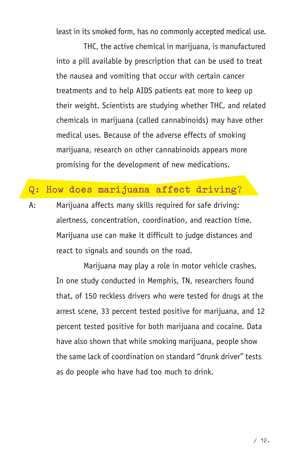least in its smoked form, has no commonly accepted medical use.

 THC, the active chemical in marijuana, is manufactured into a pill available by prescription that can be used to treat the nausea and vomiting that occur with certain cancer treatments and to help AIDS patients eat more to keep up their weight. Scientists are studying whether THC, and related chemicals in marijuana (called cannabinoids) may have other medical uses. Because of the adverse effects of smoking marijuana, research on other cannabinoids appears more promising for the development of new medications.

### **Q: How does marijuana affect driving?**

A: Marijuana affects many skills required for safe driving: alertness, concentration, coordination, and reaction time. Marijuana use can make it difficult to judge distances and react to signals and sounds on the road.

> Marijuana may play a role in motor vehicle crashes. In one study conducted in Memphis, TN, researchers found that, of 150 reckless drivers who were tested for drugs at the arrest scene, 33 percent tested positive for marijuana, and 12 percent tested positive for both marijuana and cocaine. Data have also shown that while smoking marijuana, people show the same lack of coordination on standard "drunk driver" tests as do people who have had too much to drink.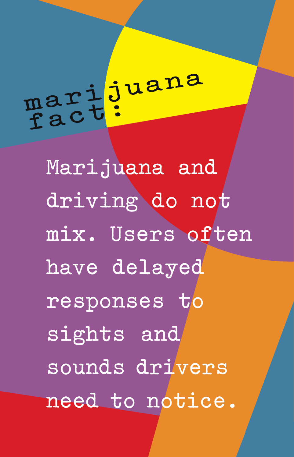# marijuana<br>fact:

**Marijuana and driving do not mix. Users often have delayed responses to sights and sounds drivers need to notice.**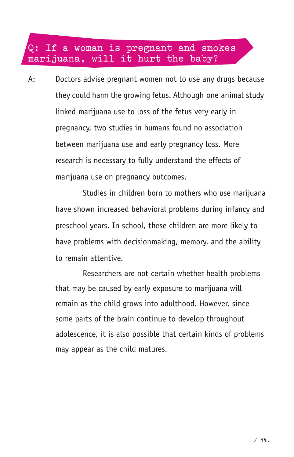## **Q: If a woman is pregnant and smokes marijuana, will it hurt the baby?**

A: Doctors advise pregnant women not to use any drugs because they could harm the growing fetus. Although one animal study linked marijuana use to loss of the fetus very early in pregnancy, two studies in humans found no association between marijuana use and early pregnancy loss. More research is necessary to fully understand the effects of marijuana use on pregnancy outcomes.

> Studies in children born to mothers who use marijuana have shown increased behavioral problems during infancy and preschool years. In school, these children are more likely to have problems with decisionmaking, memory, and the ability to remain attentive.

> Researchers are not certain whether health problems that may be caused by early exposure to marijuana will remain as the child grows into adulthood. However, since some parts of the brain continue to develop throughout adolescence, it is also possible that certain kinds of problems may appear as the child matures.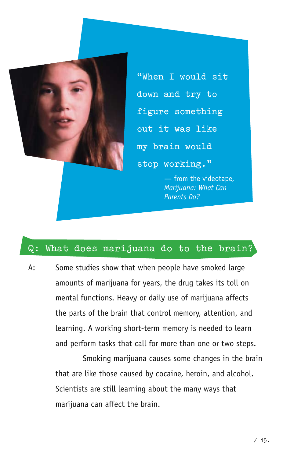

**"When I would sit down and try to figure something out it was like my brain would stop working."**

 — from the videotape, *Marijuana: What Can Parents Do?*

### **Q: What does marijuana do to the brain?**

A: Some studies show that when people have smoked large amounts of marijuana for years, the drug takes its toll on mental functions. Heavy or daily use of marijuana affects the parts of the brain that control memory, attention, and learning. A working short-term memory is needed to learn and perform tasks that call for more than one or two steps.

> Smoking marijuana causes some changes in the brain that are like those caused by cocaine, heroin, and alcohol. Scientists are still learning about the many ways that marijuana can affect the brain.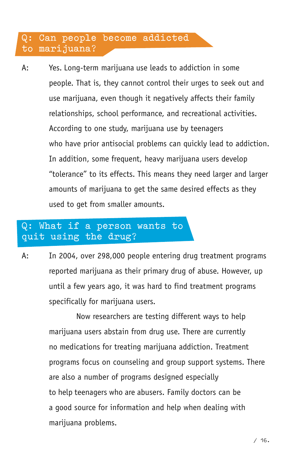### **Q: Can people become addicted to marijuana?**

A: Yes. Long-term marijuana use leads to addiction in some people. That is, they cannot control their urges to seek out and use marijuana, even though it negatively affects their family relationships, school performance, and recreational activities. According to one study, marijuana use by teenagers who have prior antisocial problems can quickly lead to addiction. In addition, some frequent, heavy marijuana users develop "tolerance" to its effects. This means they need larger and larger amounts of marijuana to get the same desired effects as they used to get from smaller amounts.

# **Q: What if a person wants to quit using the drug?**

A: In 2004, over 298,000 people entering drug treatment programs reported marijuana as their primary drug of abuse. However, up until a few years ago, it was hard to find treatment programs specifically for marijuana users.

> Now researchers are testing different ways to help marijuana users abstain from drug use. There are currently no medications for treating marijuana addiction. Treatment programs focus on counseling and group support systems. There are also a number of programs designed especially to help teenagers who are abusers. Family doctors can be a good source for information and help when dealing with marijuana problems.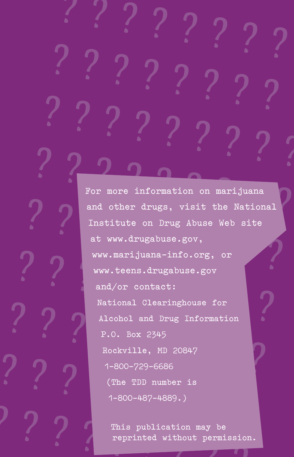**For more information on marijuana and other drugs, visit the National Institute on Drug Abuse Web site at www.drugabuse.gov, www.marijuana-info.org, or www.teens.drugabuse.gov and/or contact: National Clearinghouse for Alcohol and Drug Information P.O. Box 2345 Rockville, MD 20847 1-800-729-6686 (The TDD number is 1-800-487-4889.)**

> **This publication may be reprinted without permission.**